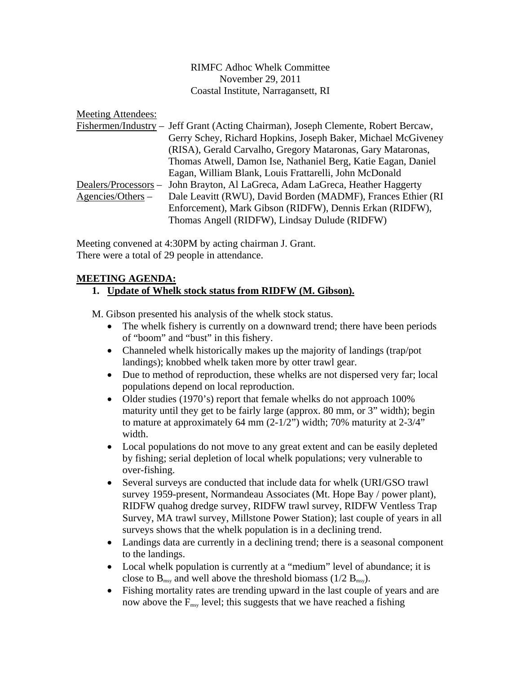RIMFC Adhoc Whelk Committee November 29, 2011 Coastal Institute, Narragansett, RI

Meeting Attendees:

|                      | Fishermen/Industry – Jeff Grant (Acting Chairman), Joseph Clemente, Robert Bercaw, |
|----------------------|------------------------------------------------------------------------------------|
|                      | Gerry Schey, Richard Hopkins, Joseph Baker, Michael McGiveney                      |
|                      | (RISA), Gerald Carvalho, Gregory Mataronas, Gary Mataronas,                        |
|                      | Thomas Atwell, Damon Ise, Nathaniel Berg, Katie Eagan, Daniel                      |
|                      | Eagan, William Blank, Louis Frattarelli, John McDonald                             |
| Dealers/Processors – | John Brayton, Al LaGreca, Adam LaGreca, Heather Haggerty                           |
| $A$ gencies/Others – | Dale Leavitt (RWU), David Borden (MADMF), Frances Ethier (RI                       |
|                      | Enforcement), Mark Gibson (RIDFW), Dennis Erkan (RIDFW),                           |
|                      | Thomas Angell (RIDFW), Lindsay Dulude (RIDFW)                                      |

Meeting convened at 4:30PM by acting chairman J. Grant. There were a total of 29 people in attendance.

# **MEETING AGENDA:**

# **1. Update of Whelk stock status from RIDFW (M. Gibson).**

M. Gibson presented his analysis of the whelk stock status.

- The whelk fishery is currently on a downward trend; there have been periods of "boom" and "bust" in this fishery.
- Channeled whelk historically makes up the majority of landings (trap/pot landings); knobbed whelk taken more by otter trawl gear.
- Due to method of reproduction, these whelks are not dispersed very far; local populations depend on local reproduction.
- Older studies (1970's) report that female whelks do not approach 100% maturity until they get to be fairly large (approx. 80 mm, or 3" width); begin to mature at approximately 64 mm  $(2-1/2)$  width; 70% maturity at  $2-3/4$ " width.
- Local populations do not move to any great extent and can be easily depleted by fishing; serial depletion of local whelk populations; very vulnerable to over-fishing.
- Several surveys are conducted that include data for whelk (URI/GSO trawl survey 1959-present, Normandeau Associates (Mt. Hope Bay / power plant), RIDFW quahog dredge survey, RIDFW trawl survey, RIDFW Ventless Trap Survey, MA trawl survey, Millstone Power Station); last couple of years in all surveys shows that the whelk population is in a declining trend.
- Landings data are currently in a declining trend; there is a seasonal component to the landings.
- Local whelk population is currently at a "medium" level of abundance; it is close to  $B_{\text{msv}}$  and well above the threshold biomass (1/2  $B_{\text{msv}}$ ).
- Fishing mortality rates are trending upward in the last couple of years and are now above the  $F_{\text{msy}}$  level; this suggests that we have reached a fishing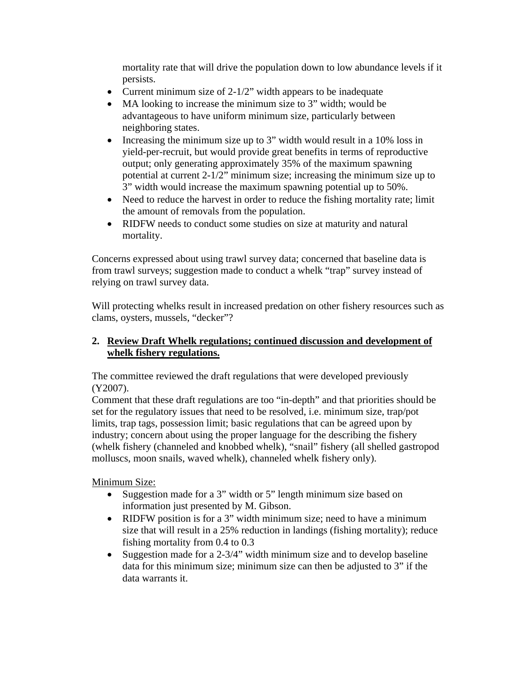mortality rate that will drive the population down to low abundance levels if it persists.

- Current minimum size of 2-1/2" width appears to be inadequate
- MA looking to increase the minimum size to 3" width; would be advantageous to have uniform minimum size, particularly between neighboring states.
- Increasing the minimum size up to 3" width would result in a 10% loss in yield-per-recruit, but would provide great benefits in terms of reproductive output; only generating approximately 35% of the maximum spawning potential at current 2-1/2" minimum size; increasing the minimum size up to 3" width would increase the maximum spawning potential up to 50%.
- Need to reduce the harvest in order to reduce the fishing mortality rate; limit the amount of removals from the population.
- RIDFW needs to conduct some studies on size at maturity and natural mortality.

Concerns expressed about using trawl survey data; concerned that baseline data is from trawl surveys; suggestion made to conduct a whelk "trap" survey instead of relying on trawl survey data.

Will protecting whelks result in increased predation on other fishery resources such as clams, oysters, mussels, "decker"?

# **2. Review Draft Whelk regulations; continued discussion and development of whelk fishery regulations.**

The committee reviewed the draft regulations that were developed previously (Y2007).

Comment that these draft regulations are too "in-depth" and that priorities should be set for the regulatory issues that need to be resolved, i.e. minimum size, trap/pot limits, trap tags, possession limit; basic regulations that can be agreed upon by industry; concern about using the proper language for the describing the fishery (whelk fishery (channeled and knobbed whelk), "snail" fishery (all shelled gastropod molluscs, moon snails, waved whelk), channeled whelk fishery only).

Minimum Size:

- Suggestion made for a 3" width or 5" length minimum size based on information just presented by M. Gibson.
- RIDFW position is for a 3" width minimum size; need to have a minimum size that will result in a 25% reduction in landings (fishing mortality); reduce fishing mortality from 0.4 to 0.3
- Suggestion made for a 2-3/4" width minimum size and to develop baseline data for this minimum size; minimum size can then be adjusted to 3" if the data warrants it.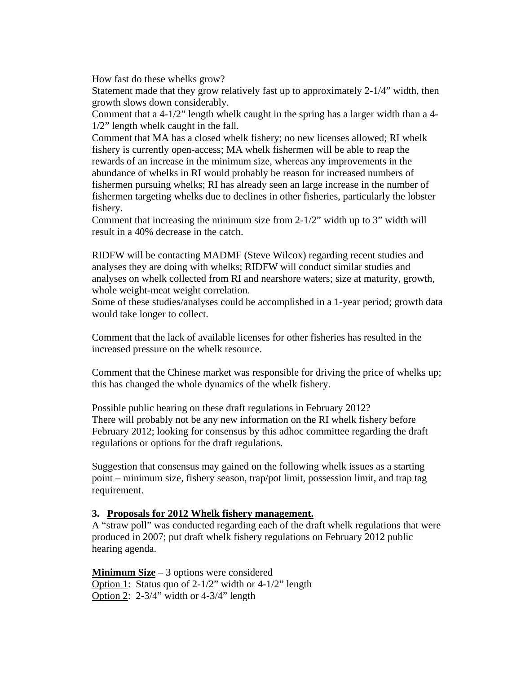How fast do these whelks grow?

Statement made that they grow relatively fast up to approximately 2-1/4" width, then growth slows down considerably.

Comment that a 4-1/2" length whelk caught in the spring has a larger width than a 4- 1/2" length whelk caught in the fall.

Comment that MA has a closed whelk fishery; no new licenses allowed; RI whelk fishery is currently open-access; MA whelk fishermen will be able to reap the rewards of an increase in the minimum size, whereas any improvements in the abundance of whelks in RI would probably be reason for increased numbers of fishermen pursuing whelks; RI has already seen an large increase in the number of fishermen targeting whelks due to declines in other fisheries, particularly the lobster fishery.

Comment that increasing the minimum size from 2-1/2" width up to 3" width will result in a 40% decrease in the catch.

RIDFW will be contacting MADMF (Steve Wilcox) regarding recent studies and analyses they are doing with whelks; RIDFW will conduct similar studies and analyses on whelk collected from RI and nearshore waters; size at maturity, growth, whole weight-meat weight correlation.

Some of these studies/analyses could be accomplished in a 1-year period; growth data would take longer to collect.

Comment that the lack of available licenses for other fisheries has resulted in the increased pressure on the whelk resource.

Comment that the Chinese market was responsible for driving the price of whelks up; this has changed the whole dynamics of the whelk fishery.

Possible public hearing on these draft regulations in February 2012? There will probably not be any new information on the RI whelk fishery before February 2012; looking for consensus by this adhoc committee regarding the draft regulations or options for the draft regulations.

Suggestion that consensus may gained on the following whelk issues as a starting point – minimum size, fishery season, trap/pot limit, possession limit, and trap tag requirement.

#### **3. Proposals for 2012 Whelk fishery management.**

A "straw poll" was conducted regarding each of the draft whelk regulations that were produced in 2007; put draft whelk fishery regulations on February 2012 public hearing agenda.

**Minimum Size** – 3 options were considered Option 1: Status quo of 2-1/2" width or 4-1/2" length Option 2: 2-3/4" width or 4-3/4" length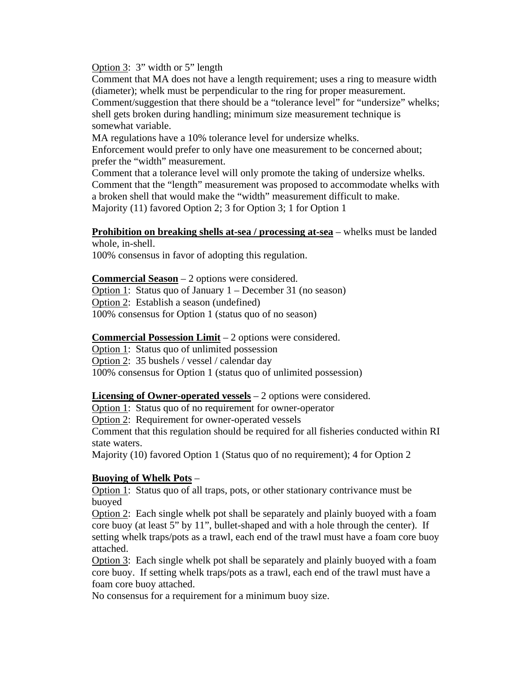Option 3: 3" width or 5" length

Comment that MA does not have a length requirement; uses a ring to measure width (diameter); whelk must be perpendicular to the ring for proper measurement. Comment/suggestion that there should be a "tolerance level" for "undersize" whelks; shell gets broken during handling; minimum size measurement technique is somewhat variable.

MA regulations have a 10% tolerance level for undersize whelks. Enforcement would prefer to only have one measurement to be concerned about; prefer the "width" measurement.

Comment that a tolerance level will only promote the taking of undersize whelks. Comment that the "length" measurement was proposed to accommodate whelks with a broken shell that would make the "width" measurement difficult to make. Majority (11) favored Option 2; 3 for Option 3; 1 for Option 1

**Prohibition on breaking shells at-sea / processing at-sea** – whelks must be landed whole, in-shell.

100% consensus in favor of adopting this regulation.

**Commercial Season** – 2 options were considered.

Option 1: Status quo of January 1 – December 31 (no season)

Option 2: Establish a season (undefined)

100% consensus for Option 1 (status quo of no season)

### **Commercial Possession Limit** – 2 options were considered.

Option 1: Status quo of unlimited possession

Option 2: 35 bushels / vessel / calendar day

100% consensus for Option 1 (status quo of unlimited possession)

# **Licensing of Owner-operated vessels** – 2 options were considered.

Option 1: Status quo of no requirement for owner-operator

Option 2: Requirement for owner-operated vessels

Comment that this regulation should be required for all fisheries conducted within RI state waters.

Majority (10) favored Option 1 (Status quo of no requirement); 4 for Option 2

# **Buoying of Whelk Pots** –

Option 1: Status quo of all traps, pots, or other stationary contrivance must be buoyed

Option 2: Each single whelk pot shall be separately and plainly buoyed with a foam core buoy (at least 5" by 11", bullet-shaped and with a hole through the center). If setting whelk traps/pots as a trawl, each end of the trawl must have a foam core buoy attached.

Option 3: Each single whelk pot shall be separately and plainly buoyed with a foam core buoy. If setting whelk traps/pots as a trawl, each end of the trawl must have a foam core buoy attached.

No consensus for a requirement for a minimum buoy size.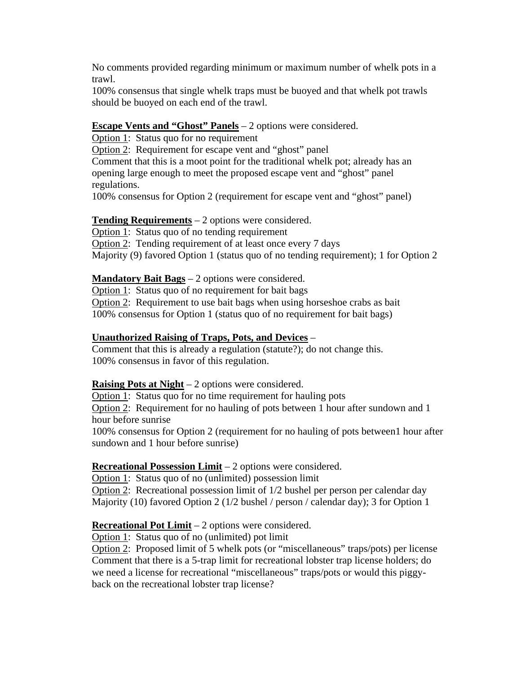No comments provided regarding minimum or maximum number of whelk pots in a trawl.

100% consensus that single whelk traps must be buoyed and that whelk pot trawls should be buoyed on each end of the trawl.

# **Escape Vents and "Ghost" Panels** – 2 options were considered.

Option 1: Status quo for no requirement

Option 2: Requirement for escape vent and "ghost" panel

Comment that this is a moot point for the traditional whelk pot; already has an opening large enough to meet the proposed escape vent and "ghost" panel regulations.

100% consensus for Option 2 (requirement for escape vent and "ghost" panel)

#### **Tending Requirements** – 2 options were considered.

Option 1: Status quo of no tending requirement Option 2: Tending requirement of at least once every 7 days Majority (9) favored Option 1 (status quo of no tending requirement); 1 for Option 2

# **Mandatory Bait Bags** – 2 options were considered.

Option 1: Status quo of no requirement for bait bags

Option 2: Requirement to use bait bags when using horseshoe crabs as bait 100% consensus for Option 1 (status quo of no requirement for bait bags)

# **Unauthorized Raising of Traps, Pots, and Devices** –

Comment that this is already a regulation (statute?); do not change this. 100% consensus in favor of this regulation.

# **Raising Pots at Night** – 2 options were considered.

Option 1: Status quo for no time requirement for hauling pots Option 2: Requirement for no hauling of pots between 1 hour after sundown and 1 hour before sunrise

100% consensus for Option 2 (requirement for no hauling of pots between1 hour after sundown and 1 hour before sunrise)

# **Recreational Possession Limit** – 2 options were considered.

Option 1: Status quo of no (unlimited) possession limit Option 2: Recreational possession limit of 1/2 bushel per person per calendar day Majority (10) favored Option 2 (1/2 bushel / person / calendar day); 3 for Option 1

# **Recreational Pot Limit** – 2 options were considered.

Option 1: Status quo of no (unlimited) pot limit

Option 2: Proposed limit of 5 whelk pots (or "miscellaneous" traps/pots) per license Comment that there is a 5-trap limit for recreational lobster trap license holders; do we need a license for recreational "miscellaneous" traps/pots or would this piggyback on the recreational lobster trap license?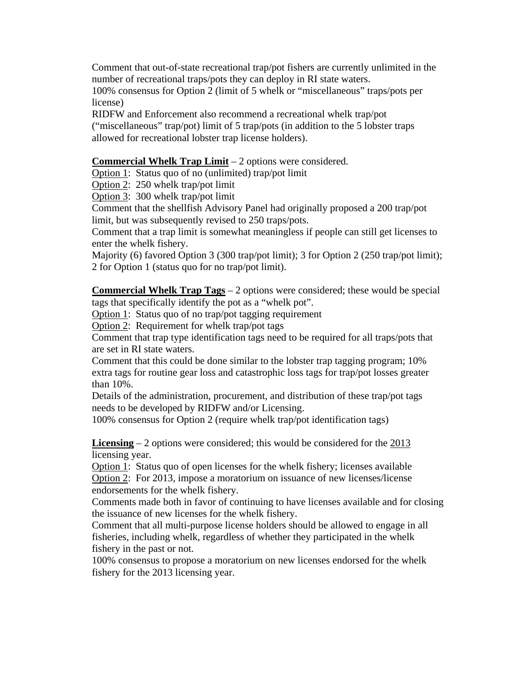Comment that out-of-state recreational trap/pot fishers are currently unlimited in the number of recreational traps/pots they can deploy in RI state waters.

100% consensus for Option 2 (limit of 5 whelk or "miscellaneous" traps/pots per license)

RIDFW and Enforcement also recommend a recreational whelk trap/pot ("miscellaneous" trap/pot) limit of 5 trap/pots (in addition to the 5 lobster traps allowed for recreational lobster trap license holders).

#### **Commercial Whelk Trap Limit** – 2 options were considered.

Option 1: Status quo of no (unlimited) trap/pot limit

Option 2: 250 whelk trap/pot limit

Option 3: 300 whelk trap/pot limit

Comment that the shellfish Advisory Panel had originally proposed a 200 trap/pot limit, but was subsequently revised to 250 traps/pots.

Comment that a trap limit is somewhat meaningless if people can still get licenses to enter the whelk fishery.

Majority (6) favored Option 3 (300 trap/pot limit); 3 for Option 2 (250 trap/pot limit); 2 for Option 1 (status quo for no trap/pot limit).

**Commercial Whelk Trap Tags** – 2 options were considered; these would be special tags that specifically identify the pot as a "whelk pot".

Option 1: Status quo of no trap/pot tagging requirement

Option 2: Requirement for whelk trap/pot tags

Comment that trap type identification tags need to be required for all traps/pots that are set in RI state waters.

Comment that this could be done similar to the lobster trap tagging program; 10% extra tags for routine gear loss and catastrophic loss tags for trap/pot losses greater than 10%.

Details of the administration, procurement, and distribution of these trap/pot tags needs to be developed by RIDFW and/or Licensing.

100% consensus for Option 2 (require whelk trap/pot identification tags)

**Licensing** – 2 options were considered; this would be considered for the 2013 licensing year.

Option 1: Status quo of open licenses for the whelk fishery; licenses available Option 2: For 2013, impose a moratorium on issuance of new licenses/license endorsements for the whelk fishery.

Comments made both in favor of continuing to have licenses available and for closing the issuance of new licenses for the whelk fishery.

Comment that all multi-purpose license holders should be allowed to engage in all fisheries, including whelk, regardless of whether they participated in the whelk fishery in the past or not.

100% consensus to propose a moratorium on new licenses endorsed for the whelk fishery for the 2013 licensing year.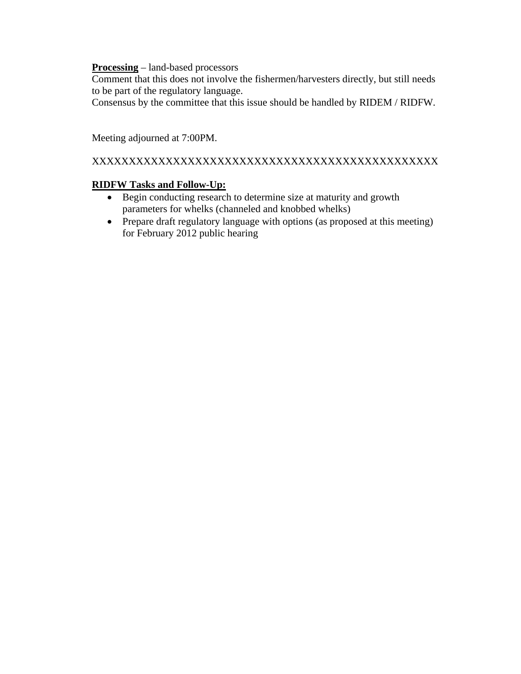#### **Processing** – land-based processors

Comment that this does not involve the fishermen/harvesters directly, but still needs to be part of the regulatory language.

Consensus by the committee that this issue should be handled by RIDEM / RIDFW.

Meeting adjourned at 7:00PM.

# XXXXXXXXXXXXXXXXXXXXXXXXXXXXXXXXXXXXXXXXXXXXXXX

# **RIDFW Tasks and Follow-Up:**

- Begin conducting research to determine size at maturity and growth parameters for whelks (channeled and knobbed whelks)
- Prepare draft regulatory language with options (as proposed at this meeting) for February 2012 public hearing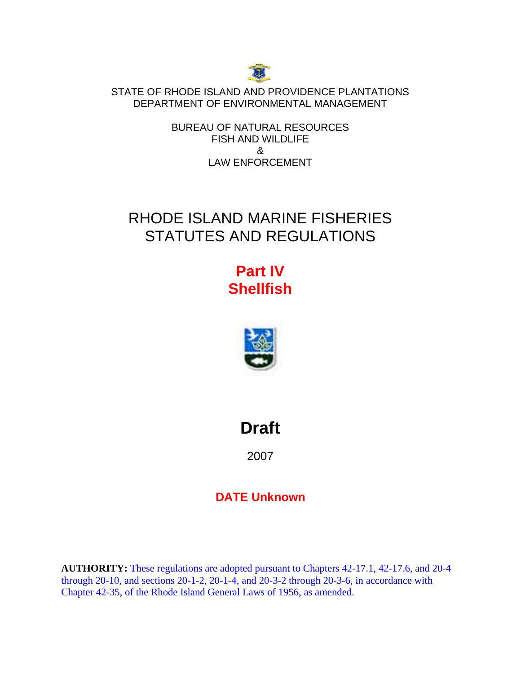

STATE OF RHODE ISLAND AND PROVIDENCE PLANTATIONS DEPARTMENT OF ENVIRONMENTAL MANAGEMENT

> BUREAU OF NATURAL RESOURCES FISH AND WILDLIFE & LAW ENFORCEMENT

# RHODE ISLAND MARINE FISHERIES STATUTES AND REGULATIONS

# **Part IV Shellfish**



**Draft** 

2007

# **DATE Unknown**

**AUTHORITY:** These regulations are adopted pursuant to Chapters 42-17.1, 42-17.6, and 20-4 through 20-10, and sections 20-1-2, 20-1-4, and 20-3-2 through 20-3-6, in accordance with Chapter 42-35, of the Rhode Island General Laws of 1956, as amended.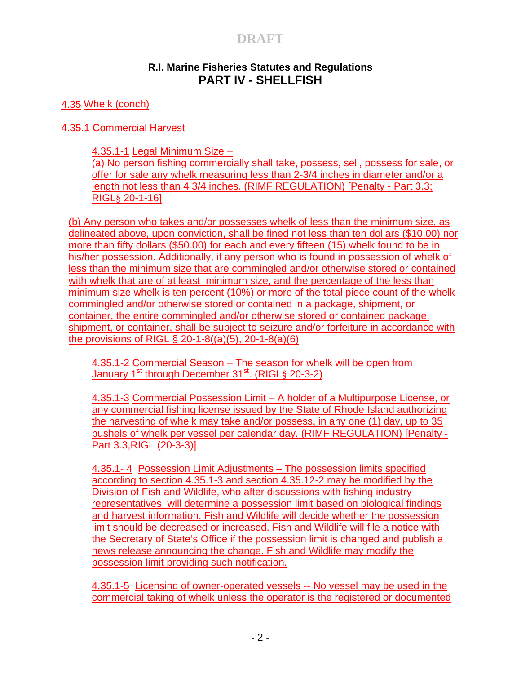# **R.I. Marine Fisheries Statutes and Regulations PART IV - SHELLFISH**

4.35 Whelk (conch)

4.35.1 Commercial Harvest

4.35.1-1 Legal Minimum Size – (a) No person fishing commercially shall take, possess, sell, possess for sale, or offer for sale any whelk measuring less than 2-3/4 inches in diameter and/or a length not less than 4 3/4 inches. (RIMF REGULATION) [Penalty - Part 3.3; RIGL§ 20-1-16]

(b) Any person who takes and/or possesses whelk of less than the minimum size, as delineated above, upon conviction, shall be fined not less than ten dollars (\$10.00) nor more than fifty dollars (\$50.00) for each and every fifteen (15) whelk found to be in his/her possession. Additionally, if any person who is found in possession of whelk of less than the minimum size that are commingled and/or otherwise stored or contained with whelk that are of at least minimum size, and the percentage of the less than minimum size whelk is ten percent (10%) or more of the total piece count of the whelk commingled and/or otherwise stored or contained in a package, shipment, or container, the entire commingled and/or otherwise stored or contained package, shipment, or container, shall be subject to seizure and/or forfeiture in accordance with the provisions of RIGL § 20-1-8((a)(5), 20-1-8(a)(6)

4.35.1-2 Commercial Season – The season for whelk will be open from January 1<sup>st</sup> through December 31<sup>st</sup>. (RIGL§ 20-3-2)

4.35.1-3 Commercial Possession Limit – A holder of a Multipurpose License, or any commercial fishing license issued by the State of Rhode Island authorizing the harvesting of whelk may take and/or possess, in any one (1) day, up to 35 bushels of whelk per vessel per calendar day. (RIMF REGULATION) [Penalty - Part 3.3,RIGL (20-3-3)]

4.35.1- 4 Possession Limit Adjustments – The possession limits specified according to section 4.35.1-3 and section 4.35.12-2 may be modified by the Division of Fish and Wildlife, who after discussions with fishing industry representatives, will determine a possession limit based on biological findings and harvest information. Fish and Wildlife will decide whether the possession limit should be decreased or increased. Fish and Wildlife will file a notice with the Secretary of State's Office if the possession limit is changed and publish a news release announcing the change. Fish and Wildlife may modify the possession limit providing such notification.

4.35.1-5 Licensing of owner-operated vessels -- No vessel may be used in the commercial taking of whelk unless the operator is the registered or documented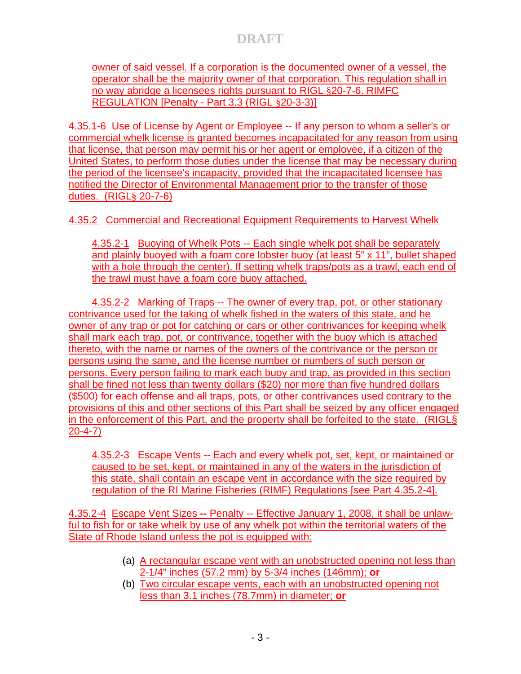owner of said vessel. If a corporation is the documented owner of a vessel, the operator shall be the majority owner of that corporation. This regulation shall in no way abridge a licensees rights pursuant to RIGL §20-7-6. RIMFC REGULATION [Penalty - Part 3.3 (RIGL §20-3-3)]

4.35.1-6 Use of License by Agent or Employee -- If any person to whom a seller's or commercial whelk license is granted becomes incapacitated for any reason from using that license, that person may permit his or her agent or employee, if a citizen of the United States, to perform those duties under the license that may be necessary during the period of the licensee's incapacity, provided that the incapacitated licensee has notified the Director of Environmental Management prior to the transfer of those duties. (RIGL§ 20-7-6)

4.35.2 Commercial and Recreational Equipment Requirements to Harvest Whelk

4.35.2-1 Buoying of Whelk Pots -- Each single whelk pot shall be separately and plainly buoyed with a foam core lobster buoy (at least 5" x 11", bullet shaped with a hole through the center). If setting whelk traps/pots as a trawl, each end of the trawl must have a foam core buoy attached.

4.35.2-2 Marking of Traps -- The owner of every trap, pot, or other stationary contrivance used for the taking of whelk fished in the waters of this state, and he owner of any trap or pot for catching or cars or other contrivances for keeping whelk shall mark each trap, pot, or contrivance, together with the buoy which is attached thereto, with the name or names of the owners of the contrivance or the person or persons using the same, and the license number or numbers of such person or persons. Every person failing to mark each buoy and trap, as provided in this section shall be fined not less than twenty dollars (\$20) nor more than five hundred dollars (\$500) for each offense and all traps, pots, or other contrivances used contrary to the provisions of this and other sections of this Part shall be seized by any officer engaged in the enforcement of this Part, and the property shall be forfeited to the state. (RIGL§ 20-4-7)

4.35.2-3 Escape Vents -- Each and every whelk pot, set, kept, or maintained or caused to be set, kept, or maintained in any of the waters in the jurisdiction of this state, shall contain an escape vent in accordance with the size required by regulation of the RI Marine Fisheries (RIMF) Regulations [see Part 4.35.2-4].

4.35.2-4 Escape Vent Sizes **--** Penalty -- Effective January 1, 2008, it shall be unlawful to fish for or take whelk by use of any whelk pot within the territorial waters of the State of Rhode Island unless the pot is equipped with:

- (a) A rectangular escape vent with an unobstructed opening not less than 2-1/4" inches (57.2 mm) by 5-3/4 inches (146mm); **or**
- (b) Two circular escape vents, each with an unobstructed opening not less than 3.1 inches (78.7mm) in diameter; **or**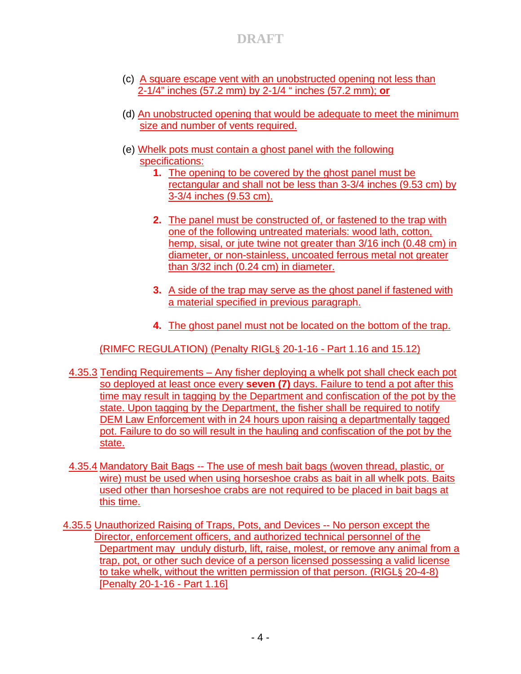- (c) A square escape vent with an unobstructed opening not less than 2-1/4" inches (57.2 mm) by 2-1/4 " inches (57.2 mm); **or**
- (d) An unobstructed opening that would be adequate to meet the minimum size and number of vents required.
- (e) Whelk pots must contain a ghost panel with the following specifications:
	- **1.** The opening to be covered by the ghost panel must be rectangular and shall not be less than 3-3/4 inches (9.53 cm) by 3-3/4 inches (9.53 cm).
	- **2.** The panel must be constructed of, or fastened to the trap with one of the following untreated materials: wood lath, cotton, hemp, sisal, or jute twine not greater than 3/16 inch (0.48 cm) in diameter, or non-stainless, uncoated ferrous metal not greater than 3/32 inch (0.24 cm) in diameter.
	- **3.** A side of the trap may serve as the ghost panel if fastened with a material specified in previous paragraph.
	- **4.** The ghost panel must not be located on the bottom of the trap.

(RIMFC REGULATION) (Penalty RIGL§ 20-1-16 - Part 1.16 and 15.12)

- 4.35.3 Tending Requirements Any fisher deploying a whelk pot shall check each pot so deployed at least once every **seven (7)** days. Failure to tend a pot after this time may result in tagging by the Department and confiscation of the pot by the state. Upon tagging by the Department, the fisher shall be required to notify DEM Law Enforcement with in 24 hours upon raising a departmentally tagged pot. Failure to do so will result in the hauling and confiscation of the pot by the state.
- 4.35.4 Mandatory Bait Bags -- The use of mesh bait bags (woven thread, plastic, or wire) must be used when using horseshoe crabs as bait in all whelk pots. Baits used other than horseshoe crabs are not required to be placed in bait bags at this time.
- 4.35.5 Unauthorized Raising of Traps, Pots, and Devices -- No person except the Director, enforcement officers, and authorized technical personnel of the Department may unduly disturb, lift, raise, molest, or remove any animal from a trap, pot, or other such device of a person licensed possessing a valid license to take whelk, without the written permission of that person. (RIGL§ 20-4-8) [Penalty 20-1-16 - Part 1.16]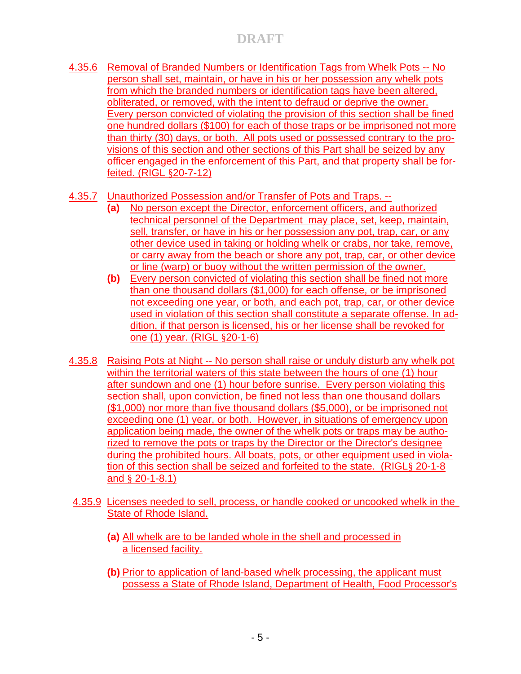- 4.35.6 Removal of Branded Numbers or Identification Tags from Whelk Pots -- No person shall set, maintain, or have in his or her possession any whelk pots from which the branded numbers or identification tags have been altered, obliterated, or removed, with the intent to defraud or deprive the owner. Every person convicted of violating the provision of this section shall be fined one hundred dollars (\$100) for each of those traps or be imprisoned not more than thirty (30) days, or both. All pots used or possessed contrary to the provisions of this section and other sections of this Part shall be seized by any officer engaged in the enforcement of this Part, and that property shall be forfeited. (RIGL §20-7-12)
- 4.35.7 Unauthorized Possession and/or Transfer of Pots and Traps. --
	- **(a)** No person except the Director, enforcement officers, and authorized technical personnel of the Department may place, set, keep, maintain, sell, transfer, or have in his or her possession any pot, trap, car, or any other device used in taking or holding whelk or crabs, nor take, remove, or carry away from the beach or shore any pot, trap, car, or other device or line (warp) or buoy without the written permission of the owner.
	- **(b)** Every person convicted of violating this section shall be fined not more than one thousand dollars (\$1,000) for each offense, or be imprisoned not exceeding one year, or both, and each pot, trap, car, or other device used in violation of this section shall constitute a separate offense. In addition, if that person is licensed, his or her license shall be revoked for one (1) year. (RIGL §20-1-6)
- 4.35.8 Raising Pots at Night -- No person shall raise or unduly disturb any whelk pot within the territorial waters of this state between the hours of one (1) hour after sundown and one (1) hour before sunrise. Every person violating this section shall, upon conviction, be fined not less than one thousand dollars (\$1,000) nor more than five thousand dollars (\$5,000), or be imprisoned not exceeding one (1) year, or both. However, in situations of emergency upon application being made, the owner of the whelk pots or traps may be authorized to remove the pots or traps by the Director or the Director's designee during the prohibited hours. All boats, pots, or other equipment used in violation of this section shall be seized and forfeited to the state. (RIGL§ 20-1-8 and § 20-1-8.1)
- 4.35.9 Licenses needed to sell, process, or handle cooked or uncooked whelk in the State of Rhode Island.
	- **(a)** All whelk are to be landed whole in the shell and processed in a licensed facility.
	- **(b)** Prior to application of land-based whelk processing, the applicant must possess a State of Rhode Island, Department of Health, Food Processor's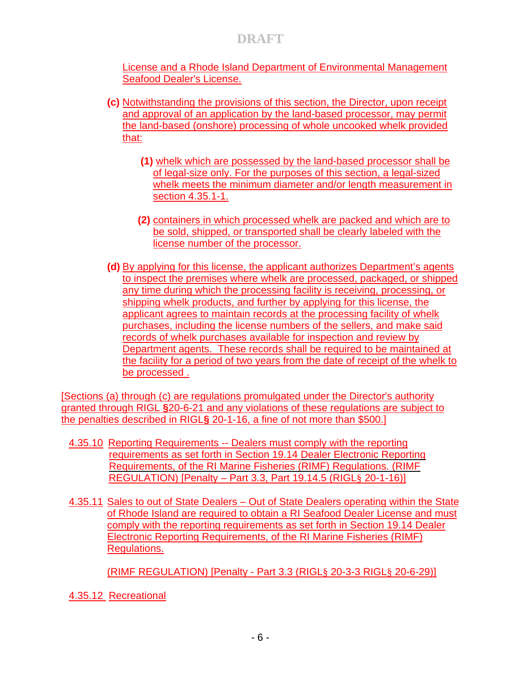License and a Rhode Island Department of Environmental Management Seafood Dealer's License.

- **(c)** Notwithstanding the provisions of this section, the Director, upon receipt and approval of an application by the land-based processor, may permit the land-based (onshore) processing of whole uncooked whelk provided that:
	- **(1)** whelk which are possessed by the land-based processor shall be of legal-size only. For the purposes of this section, a legal-sized whelk meets the minimum diameter and/or length measurement in section 4.35.1-1.
	- **(2)** containers in which processed whelk are packed and which are to be sold, shipped, or transported shall be clearly labeled with the license number of the processor.
- **(d)** By applying for this license, the applicant authorizes Department's agents to inspect the premises where whelk are processed, packaged, or shipped any time during which the processing facility is receiving, processing, or shipping whelk products, and further by applying for this license, the applicant agrees to maintain records at the processing facility of whelk purchases, including the license numbers of the sellers, and make said records of whelk purchases available for inspection and review by Department agents. These records shall be required to be maintained at the facility for a period of two years from the date of receipt of the whelk to be processed .

[Sections (a) through (c) are regulations promulgated under the Director's authority granted through RIGL **§**20-6-21 and any violations of these regulations are subject to the penalties described in RIGL**§** 20-1-16, a fine of not more than \$500.]

- 4.35.10Reporting Requirements -- Dealers must comply with the reporting requirements as set forth in Section 19.14 Dealer Electronic Reporting Requirements, of the RI Marine Fisheries (RIMF) Regulations. (RIMF REGULATION) [Penalty – Part 3.3, Part 19.14.5 (RIGL§ 20-1-16)]
- 4.35.11 Sales to out of State Dealers Out of State Dealers operating within the State of Rhode Island are required to obtain a RI Seafood Dealer License and must comply with the reporting requirements as set forth in Section 19.14 Dealer Electronic Reporting Requirements, of the RI Marine Fisheries (RIMF) Regulations.

(RIMF REGULATION) [Penalty - Part 3.3 (RIGL§ 20-3-3 RIGL§ 20-6-29)]

4.35.12 Recreational